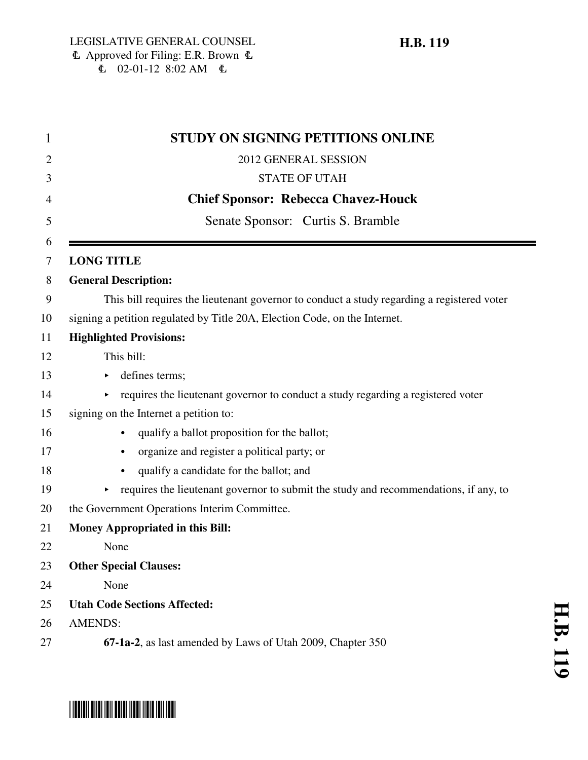| 1      | <b>STUDY ON SIGNING PETITIONS ONLINE</b>                                                   |
|--------|--------------------------------------------------------------------------------------------|
| 2      | 2012 GENERAL SESSION                                                                       |
| 3      | <b>STATE OF UTAH</b>                                                                       |
| 4      | <b>Chief Sponsor: Rebecca Chavez-Houck</b>                                                 |
| 5      | Senate Sponsor: Curtis S. Bramble                                                          |
| 6<br>7 | <b>LONG TITLE</b>                                                                          |
| 8      | <b>General Description:</b>                                                                |
| 9      | This bill requires the lieutenant governor to conduct a study regarding a registered voter |
| 10     | signing a petition regulated by Title 20A, Election Code, on the Internet.                 |
| 11     | <b>Highlighted Provisions:</b>                                                             |
| 12     | This bill:                                                                                 |
| 13     | defines terms;                                                                             |
| 14     | requires the lieutenant governor to conduct a study regarding a registered voter           |
| 15     | signing on the Internet a petition to:                                                     |
| 16     | qualify a ballot proposition for the ballot;                                               |
| 17     | organize and register a political party; or<br>$\bullet$                                   |
| 18     | qualify a candidate for the ballot; and<br>$\bullet$                                       |
| 19     | requires the lieutenant governor to submit the study and recommendations, if any, to       |
| 20     | the Government Operations Interim Committee.                                               |
| 21     | <b>Money Appropriated in this Bill:</b>                                                    |
| 22     | None                                                                                       |
| 23     | <b>Other Special Clauses:</b>                                                              |
| 24     | None                                                                                       |
| 25     | <b>Utah Code Sections Affected:</b>                                                        |
| 26     | <b>AMENDS:</b>                                                                             |
| 27     | 67-1a-2, as last amended by Laws of Utah 2009, Chapter 350                                 |

# \*HB0119\*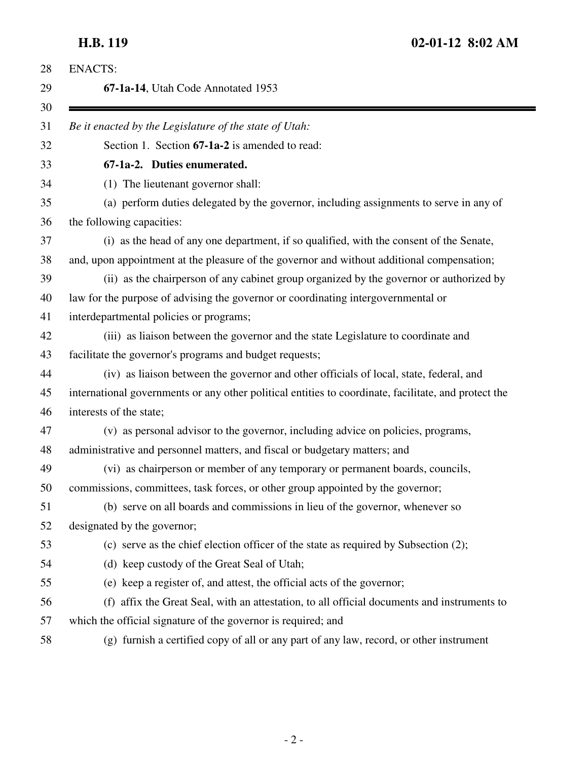| <b>ENACTS:</b>                                                                                       |
|------------------------------------------------------------------------------------------------------|
| 67-1a-14, Utah Code Annotated 1953                                                                   |
| Be it enacted by the Legislature of the state of Utah:                                               |
| Section 1. Section 67-1a-2 is amended to read:                                                       |
| 67-1a-2. Duties enumerated.                                                                          |
| (1) The lieutenant governor shall:                                                                   |
| (a) perform duties delegated by the governor, including assignments to serve in any of               |
| the following capacities:                                                                            |
| (i) as the head of any one department, if so qualified, with the consent of the Senate,              |
| and, upon appointment at the pleasure of the governor and without additional compensation;           |
| (ii) as the chairperson of any cabinet group organized by the governor or authorized by              |
| law for the purpose of advising the governor or coordinating intergovernmental or                    |
| interdepartmental policies or programs;                                                              |
| (iii) as liaison between the governor and the state Legislature to coordinate and                    |
| facilitate the governor's programs and budget requests;                                              |
| (iv) as liaison between the governor and other officials of local, state, federal, and               |
| international governments or any other political entities to coordinate, facilitate, and protect the |
| interests of the state;                                                                              |
| (v) as personal advisor to the governor, including advice on policies, programs,                     |
| administrative and personnel matters, and fiscal or budgetary matters; and                           |
| (vi) as chairperson or member of any temporary or permanent boards, councils,                        |
| commissions, committees, task forces, or other group appointed by the governor;                      |
| (b) serve on all boards and commissions in lieu of the governor, whenever so                         |
| designated by the governor;                                                                          |
| (c) serve as the chief election officer of the state as required by Subsection (2);                  |
| (d) keep custody of the Great Seal of Utah;                                                          |
| (e) keep a register of, and attest, the official acts of the governor;                               |
| (f) affix the Great Seal, with an attestation, to all official documents and instruments to          |
| which the official signature of the governor is required; and                                        |
| (g) furnish a certified copy of all or any part of any law, record, or other instrument              |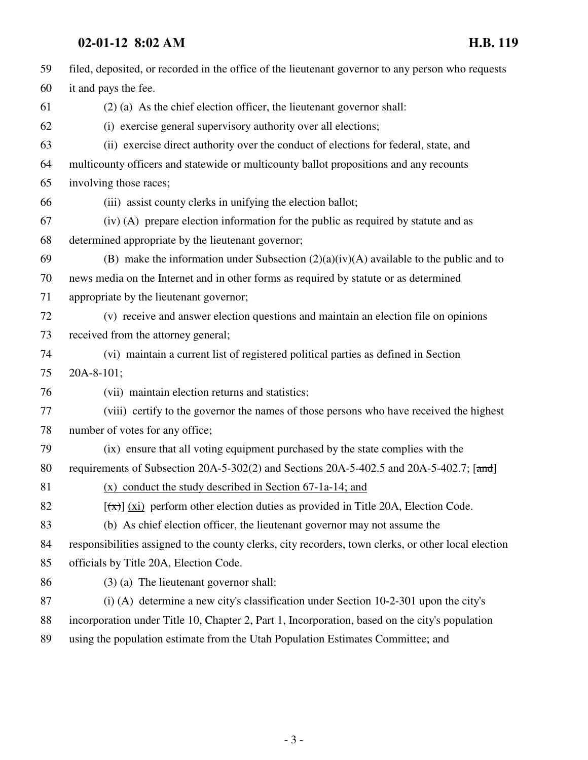### **02-01-12 8:02 AM H.B. 119**

| 59 | filed, deposited, or recorded in the office of the lieutenant governor to any person who requests    |
|----|------------------------------------------------------------------------------------------------------|
| 60 | it and pays the fee.                                                                                 |
| 61 | $(2)$ (a) As the chief election officer, the lieutenant governor shall:                              |
| 62 | (i) exercise general supervisory authority over all elections;                                       |
| 63 | (ii) exercise direct authority over the conduct of elections for federal, state, and                 |
| 64 | multicounty officers and statewide or multicounty ballot propositions and any recounts               |
| 65 | involving those races;                                                                               |
| 66 | (iii) assist county clerks in unifying the election ballot;                                          |
| 67 | (iv) (A) prepare election information for the public as required by statute and as                   |
| 68 | determined appropriate by the lieutenant governor;                                                   |
| 69 | (B) make the information under Subsection $(2)(a)(iv)(A)$ available to the public and to             |
| 70 | news media on the Internet and in other forms as required by statute or as determined                |
| 71 | appropriate by the lieutenant governor;                                                              |
| 72 | (v) receive and answer election questions and maintain an election file on opinions                  |
| 73 | received from the attorney general;                                                                  |
| 74 | (vi) maintain a current list of registered political parties as defined in Section                   |
| 75 | 20A-8-101;                                                                                           |
| 76 | (vii) maintain election returns and statistics;                                                      |
| 77 | (viii) certify to the governor the names of those persons who have received the highest              |
| 78 | number of votes for any office;                                                                      |
| 79 | (ix) ensure that all voting equipment purchased by the state complies with the                       |
| 80 | requirements of Subsection 20A-5-302(2) and Sections 20A-5-402.5 and 20A-5-402.7; [and]              |
| 81 | $(x)$ conduct the study described in Section 67-1a-14; and                                           |
| 82 | $[\overline{(\pi)}]$ (xi) perform other election duties as provided in Title 20A, Election Code.     |
| 83 | (b) As chief election officer, the lieutenant governor may not assume the                            |
| 84 | responsibilities assigned to the county clerks, city recorders, town clerks, or other local election |
| 85 | officials by Title 20A, Election Code.                                                               |
| 86 | $(3)$ (a) The lieutenant governor shall:                                                             |
| 87 | $(i)$ (A) determine a new city's classification under Section 10-2-301 upon the city's               |
| 88 | incorporation under Title 10, Chapter 2, Part 1, Incorporation, based on the city's population       |
| 89 | using the population estimate from the Utah Population Estimates Committee; and                      |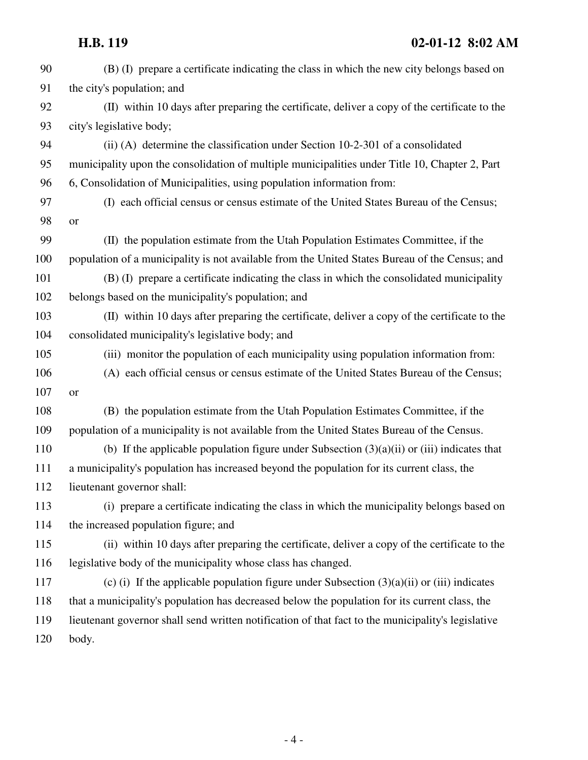### **H.B. 119 02-01-12 8:02 AM**

| 90  | (B) (I) prepare a certificate indicating the class in which the new city belongs based on          |
|-----|----------------------------------------------------------------------------------------------------|
| 91  | the city's population; and                                                                         |
| 92  | (II) within 10 days after preparing the certificate, deliver a copy of the certificate to the      |
| 93  | city's legislative body;                                                                           |
| 94  | (ii) (A) determine the classification under Section $10-2-301$ of a consolidated                   |
| 95  | municipality upon the consolidation of multiple municipalities under Title 10, Chapter 2, Part     |
| 96  | 6, Consolidation of Municipalities, using population information from:                             |
| 97  | (I) each official census or census estimate of the United States Bureau of the Census;             |
| 98  | or                                                                                                 |
| 99  | (II) the population estimate from the Utah Population Estimates Committee, if the                  |
| 100 | population of a municipality is not available from the United States Bureau of the Census; and     |
| 101 | (B) (I) prepare a certificate indicating the class in which the consolidated municipality          |
| 102 | belongs based on the municipality's population; and                                                |
| 103 | (II) within 10 days after preparing the certificate, deliver a copy of the certificate to the      |
| 104 | consolidated municipality's legislative body; and                                                  |
| 105 | (iii) monitor the population of each municipality using population information from:               |
| 106 | (A) each official census or census estimate of the United States Bureau of the Census;             |
| 107 | or                                                                                                 |
| 108 | (B) the population estimate from the Utah Population Estimates Committee, if the                   |
| 109 | population of a municipality is not available from the United States Bureau of the Census.         |
| 110 | (b) If the applicable population figure under Subsection $(3)(a)(ii)$ or (iii) indicates that      |
| 111 | a municipality's population has increased beyond the population for its current class, the         |
| 112 | lieutenant governor shall:                                                                         |
| 113 | (i) prepare a certificate indicating the class in which the municipality belongs based on          |
| 114 | the increased population figure; and                                                               |
| 115 | (ii) within 10 days after preparing the certificate, deliver a copy of the certificate to the      |
| 116 | legislative body of the municipality whose class has changed.                                      |
| 117 | (c) (i) If the applicable population figure under Subsection $(3)(a)(ii)$ or (iii) indicates       |
| 118 | that a municipality's population has decreased below the population for its current class, the     |
| 119 | lieutenant governor shall send written notification of that fact to the municipality's legislative |
| 120 | body.                                                                                              |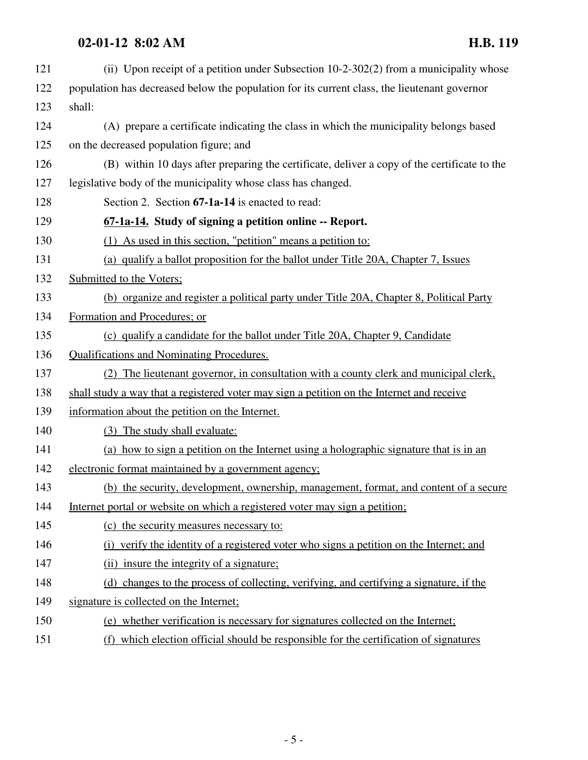## **02-01-12 8:02 AM H.B. 119**

| 121 | (ii) Upon receipt of a petition under Subsection 10-2-302(2) from a municipality whose       |
|-----|----------------------------------------------------------------------------------------------|
| 122 | population has decreased below the population for its current class, the lieutenant governor |
| 123 | shall:                                                                                       |
| 124 | (A) prepare a certificate indicating the class in which the municipality belongs based       |
| 125 | on the decreased population figure; and                                                      |
| 126 | (B) within 10 days after preparing the certificate, deliver a copy of the certificate to the |
| 127 | legislative body of the municipality whose class has changed.                                |
| 128 | Section 2. Section 67-1a-14 is enacted to read:                                              |
| 129 | 67-1a-14. Study of signing a petition online -- Report.                                      |
| 130 | (1) As used in this section, "petition" means a petition to:                                 |
| 131 | (a) qualify a ballot proposition for the ballot under Title 20A, Chapter 7, Issues           |
| 132 | Submitted to the Voters;                                                                     |
| 133 | (b) organize and register a political party under Title 20A, Chapter 8, Political Party      |
| 134 | Formation and Procedures; or                                                                 |
| 135 | (c) qualify a candidate for the ballot under Title 20A, Chapter 9, Candidate                 |
| 136 | <b>Qualifications and Nominating Procedures.</b>                                             |
| 137 | (2) The lieutenant governor, in consultation with a county clerk and municipal clerk,        |
| 138 | shall study a way that a registered voter may sign a petition on the Internet and receive    |
| 139 | information about the petition on the Internet.                                              |
| 140 | (3) The study shall evaluate:                                                                |
| 141 | (a) how to sign a petition on the Internet using a holographic signature that is in an       |
| 142 | electronic format maintained by a government agency;                                         |
| 143 | (b) the security, development, ownership, management, format, and content of a secure        |
| 144 | Internet portal or website on which a registered voter may sign a petition;                  |
| 145 | (c) the security measures necessary to:                                                      |
| 146 | (i) verify the identity of a registered voter who signs a petition on the Internet; and      |
| 147 | (ii) insure the integrity of a signature:                                                    |
| 148 | (d) changes to the process of collecting, verifying, and certifying a signature, if the      |
| 149 | signature is collected on the Internet;                                                      |
| 150 | (e) whether verification is necessary for signatures collected on the Internet;              |
| 151 | (f) which election official should be responsible for the certification of signatures        |